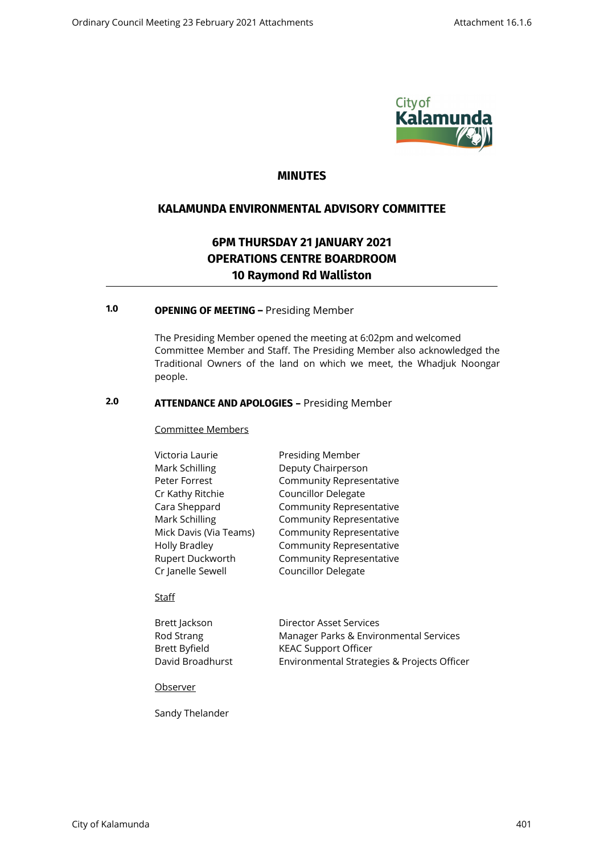

# **MINUTES**

# **KALAMUNDA ENVIRONMENTAL ADVISORY COMMITTEE**

# **6PM THURSDAY 21 JANUARY 2021 OPERATIONS CENTRE BOARDROOM 10 Raymond Rd Walliston**

# **1.0 OPENING OF MEETING –** Presiding Member

The Presiding Member opened the meeting at 6:02pm and welcomed Committee Member and Staff. The Presiding Member also acknowledged the Traditional Owners of the land on which we meet, the Whadjuk Noongar people.

# **2.0 ATTENDANCE AND APOLOGIES –** Presiding Member

#### Committee Members

| Victoria Laurie        | Presiding Member                |  |
|------------------------|---------------------------------|--|
| Mark Schilling         | Deputy Chairperson              |  |
| Peter Forrest          | <b>Community Representative</b> |  |
| Cr Kathy Ritchie       | <b>Councillor Delegate</b>      |  |
| Cara Sheppard          | <b>Community Representative</b> |  |
| Mark Schilling         | <b>Community Representative</b> |  |
| Mick Davis (Via Teams) | <b>Community Representative</b> |  |
| <b>Holly Bradley</b>   | <b>Community Representative</b> |  |
| Rupert Duckworth       | <b>Community Representative</b> |  |
| Cr Janelle Sewell      | Councillor Delegate             |  |
|                        |                                 |  |

#### Staff

| Brett Jackson    | Director Asset Services                     |
|------------------|---------------------------------------------|
| Rod Strang       | Manager Parks & Environmental Services      |
| Brett Byfield    | <b>KEAC Support Officer</b>                 |
| David Broadhurst | Environmental Strategies & Projects Officer |

Observer

Sandy Thelander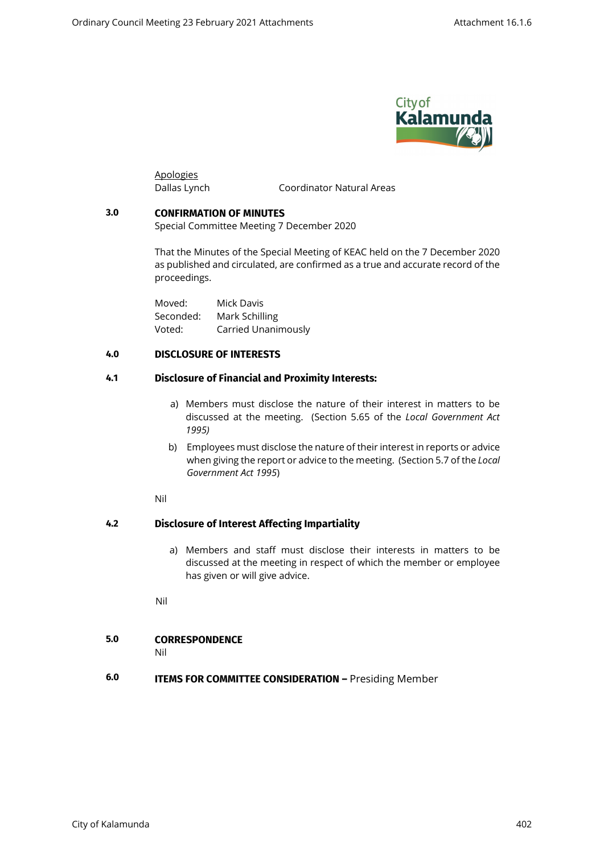

Apologies

Dallas Lynch Coordinator Natural Areas

#### **3.0 CONFIRMATION OF MINUTES**

Special Committee Meeting 7 December 2020

That the Minutes of the Special Meeting of KEAC held on the 7 December 2020 as published and circulated, are confirmed as a true and accurate record of the proceedings.

Moved: Mick Davis Seconded: Mark Schilling Voted: Carried Unanimously

## **4.0 DISCLOSURE OF INTERESTS**

#### **4.1 Disclosure of Financial and Proximity Interests:**

- a) Members must disclose the nature of their interest in matters to be discussed at the meeting. (Section 5.65 of the *Local Government Act 1995)*
- b) Employees must disclose the nature of their interest in reports or advice when giving the report or advice to the meeting. (Section 5.7 of the *Local Government Act 1995*)

Nil

### **4.2 Disclosure of Interest Affecting Impartiality**

a) Members and staff must disclose their interests in matters to be discussed at the meeting in respect of which the member or employee has given or will give advice.

Nil

# **5.0 CORRESPONDENCE**

Nil

# **6.0 ITEMS FOR COMMITTEE CONSIDERATION –** Presiding Member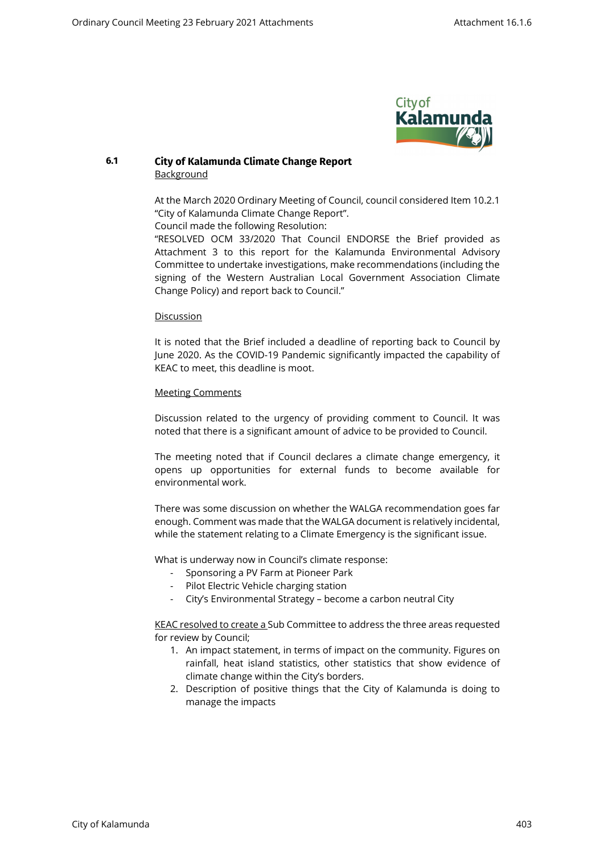

### **6.1 City of Kalamunda Climate Change Report** Background

At the March 2020 Ordinary Meeting of Council, council considered Item 10.2.1 "City of Kalamunda Climate Change Report".

Council made the following Resolution:

"RESOLVED OCM 33/2020 That Council ENDORSE the Brief provided as Attachment 3 to this report for the Kalamunda Environmental Advisory Committee to undertake investigations, make recommendations (including the signing of the Western Australian Local Government Association Climate Change Policy) and report back to Council."

#### Discussion

It is noted that the Brief included a deadline of reporting back to Council by June 2020. As the COVID-19 Pandemic significantly impacted the capability of KEAC to meet, this deadline is moot.

#### Meeting Comments

Discussion related to the urgency of providing comment to Council. It was noted that there is a significant amount of advice to be provided to Council.

The meeting noted that if Council declares a climate change emergency, it opens up opportunities for external funds to become available for environmental work.

There was some discussion on whether the WALGA recommendation goes far enough. Comment was made that the WALGA document is relatively incidental, while the statement relating to a Climate Emergency is the significant issue.

What is underway now in Council's climate response:

- Sponsoring a PV Farm at Pioneer Park
- Pilot Electric Vehicle charging station
- City's Environmental Strategy become a carbon neutral City

KEAC resolved to create a Sub Committee to address the three areas requested for review by Council;

- 1. An impact statement, in terms of impact on the community. Figures on rainfall, heat island statistics, other statistics that show evidence of climate change within the City's borders.
- 2. Description of positive things that the City of Kalamunda is doing to manage the impacts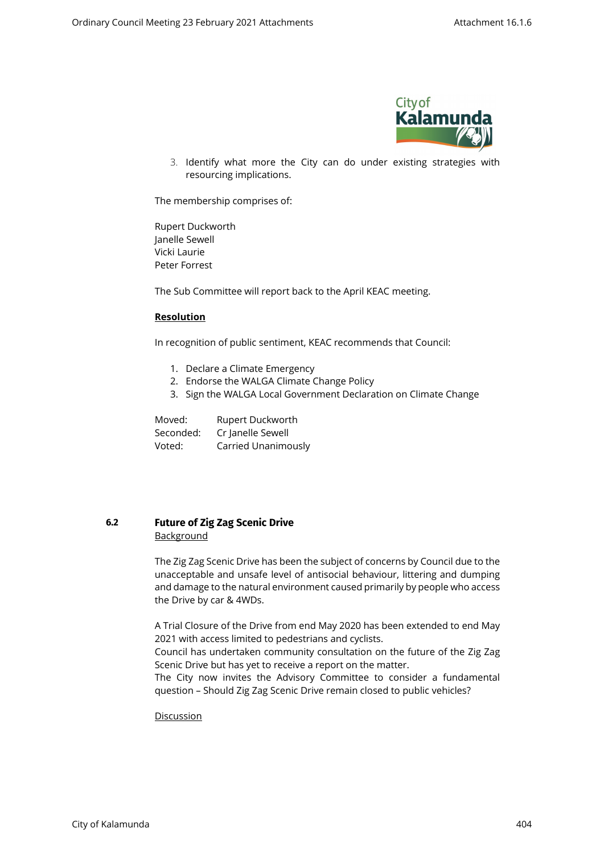

3. Identify what more the City can do under existing strategies with resourcing implications.

The membership comprises of:

Rupert Duckworth Janelle Sewell Vicki Laurie Peter Forrest

The Sub Committee will report back to the April KEAC meeting.

#### **Resolution**

In recognition of public sentiment, KEAC recommends that Council:

- 1. Declare a Climate Emergency
- 2. Endorse the WALGA Climate Change Policy
- 3. Sign the WALGA Local Government Declaration on Climate Change

Moved: Rupert Duckworth Seconded: Cr Janelle Sewell Voted: Carried Unanimously

### **6.2 Future of Zig Zag Scenic Drive Background**

The Zig Zag Scenic Drive has been the subject of concerns by Council due to the unacceptable and unsafe level of antisocial behaviour, littering and dumping and damage to the natural environment caused primarily by people who access the Drive by car & 4WDs.

A Trial Closure of the Drive from end May 2020 has been extended to end May 2021 with access limited to pedestrians and cyclists.

Council has undertaken community consultation on the future of the Zig Zag Scenic Drive but has yet to receive a report on the matter.

The City now invites the Advisory Committee to consider a fundamental question – Should Zig Zag Scenic Drive remain closed to public vehicles?

#### Discussion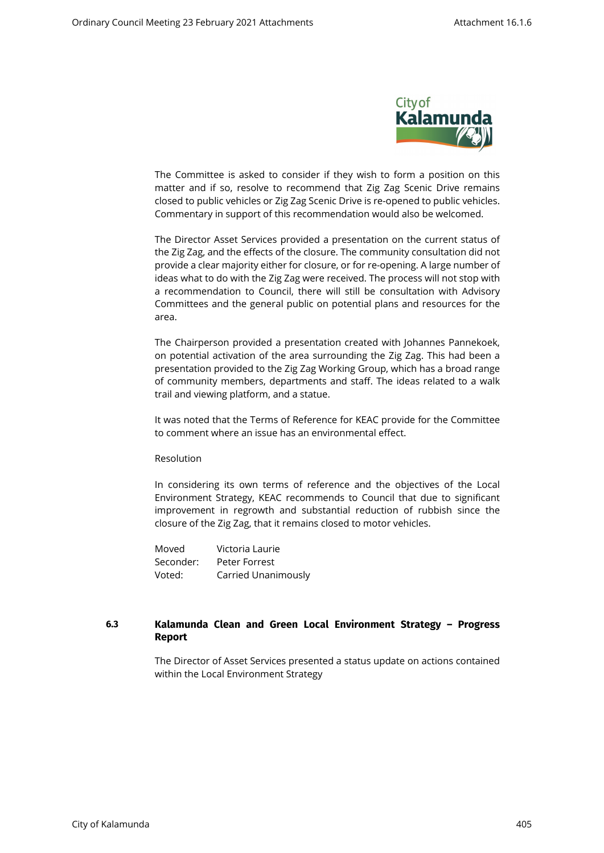

The Committee is asked to consider if they wish to form a position on this matter and if so, resolve to recommend that Zig Zag Scenic Drive remains closed to public vehicles or Zig Zag Scenic Drive is re-opened to public vehicles. Commentary in support of this recommendation would also be welcomed.

The Director Asset Services provided a presentation on the current status of the Zig Zag, and the effects of the closure. The community consultation did not provide a clear majority either for closure, or for re-opening. A large number of ideas what to do with the Zig Zag were received. The process will not stop with a recommendation to Council, there will still be consultation with Advisory Committees and the general public on potential plans and resources for the area.

The Chairperson provided a presentation created with Johannes Pannekoek, on potential activation of the area surrounding the Zig Zag. This had been a presentation provided to the Zig Zag Working Group, which has a broad range of community members, departments and staff. The ideas related to a walk trail and viewing platform, and a statue.

It was noted that the Terms of Reference for KEAC provide for the Committee to comment where an issue has an environmental effect.

Resolution

In considering its own terms of reference and the objectives of the Local Environment Strategy, KEAC recommends to Council that due to significant improvement in regrowth and substantial reduction of rubbish since the closure of the Zig Zag, that it remains closed to motor vehicles.

Moved Victoria Laurie Seconder: Peter Forrest Voted: Carried Unanimously

## **6.3 Kalamunda Clean and Green Local Environment Strategy – Progress Report**

The Director of Asset Services presented a status update on actions contained within the Local Environment Strategy